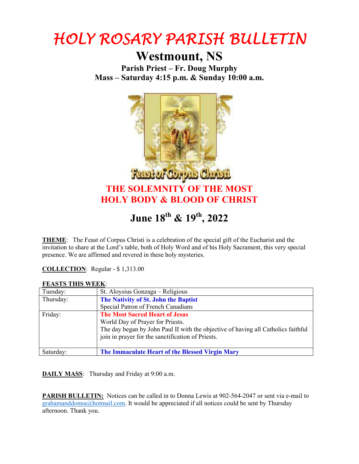

## **Westmount, NS**

**Parish Priest – Fr. Doug Murphy Mass – Saturday 4:15 p.m. & Sunday 10:00 a.m.** 



## **June 18th & 19th, 2022**

**THEME**: The Feast of Corpus Christi is a celebration of the special gift of the Eucharist and the invitation to share at the Lord's table, both of Holy Word and of his Holy Sacrament, this very special presence. We are affirmed and revered in these holy mysteries.

**COLLECTION**: Regular - \$ 1,313.00

## **FEASTS THIS WEEK**:

| Tuesday:  | St. Aloysius Gonzaga - Religious                                                  |
|-----------|-----------------------------------------------------------------------------------|
| Thursday: | The Nativity of St. John the Baptist                                              |
|           | Special Patron of French Canadians                                                |
| Friday:   | <b>The Most Sacred Heart of Jesus</b>                                             |
|           | World Day of Prayer for Priests.                                                  |
|           | The day began by John Paul II with the objective of having all Catholics faithful |
|           | join in prayer for the sanctification of Priests.                                 |
|           |                                                                                   |
| Saturday: | The Immaculate Heart of the Blessed Virgin Mary                                   |

**DAILY MASS**: Thursday and Friday at 9:00 a.m.

**PARISH BULLETIN:** Notices can be called in to Donna Lewis at 902-564-2047 or sent via e-mail to grahamanddonna@hotmail.com. It would be appreciated if all notices could be sent by Thursday afternoon. Thank you.